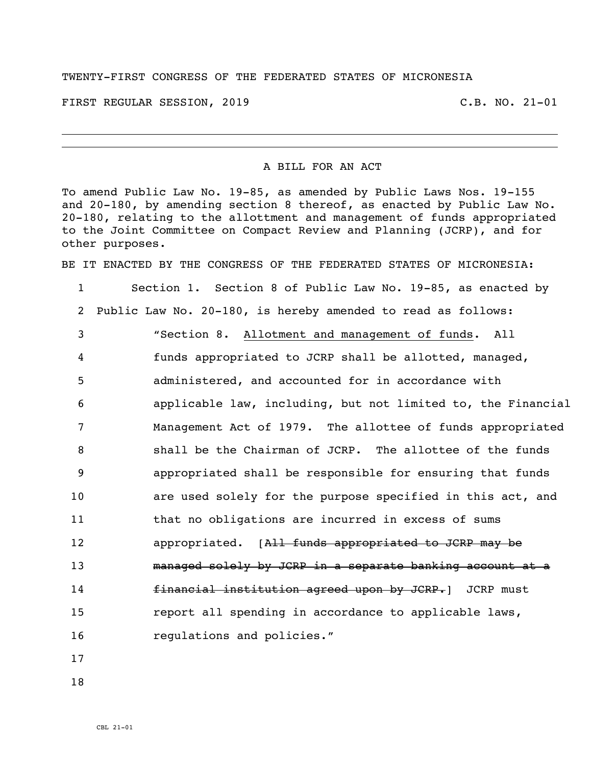## TWENTY-FIRST CONGRESS OF THE FEDERATED STATES OF MICRONESIA

FIRST REGULAR SESSION, 2019 C.B. NO. 21-01

## A BILL FOR AN ACT

To amend Public Law No. 19-85, as amended by Public Laws Nos. 19-155 and 20-180, by amending section 8 thereof, as enacted by Public Law No. 20-180, relating to the allottment and management of funds appropriated to the Joint Committee on Compact Review and Planning (JCRP), and for other purposes.

BE IT ENACTED BY THE CONGRESS OF THE FEDERATED STATES OF MICRONESIA:

 Section 1. Section 8 of Public Law No. 19-85, as enacted by Public Law No. 20-180, is hereby amended to read as follows: "Section 8. Allotment and management of funds. All funds appropriated to JCRP shall be allotted, managed, administered, and accounted for in accordance with applicable law, including, but not limited to, the Financial Management Act of 1979. The allottee of funds appropriated shall be the Chairman of JCRP. The allottee of the funds appropriated shall be responsible for ensuring that funds are used solely for the purpose specified in this act, and that no obligations are incurred in excess of sums **appropriated.** [All funds appropriated to JCRP may be managed solely by JCRP in a separate banking account at a **financial institution agreed upon by JCRP.** JCRP must report all spending in accordance to applicable laws, **regulations** and policies."